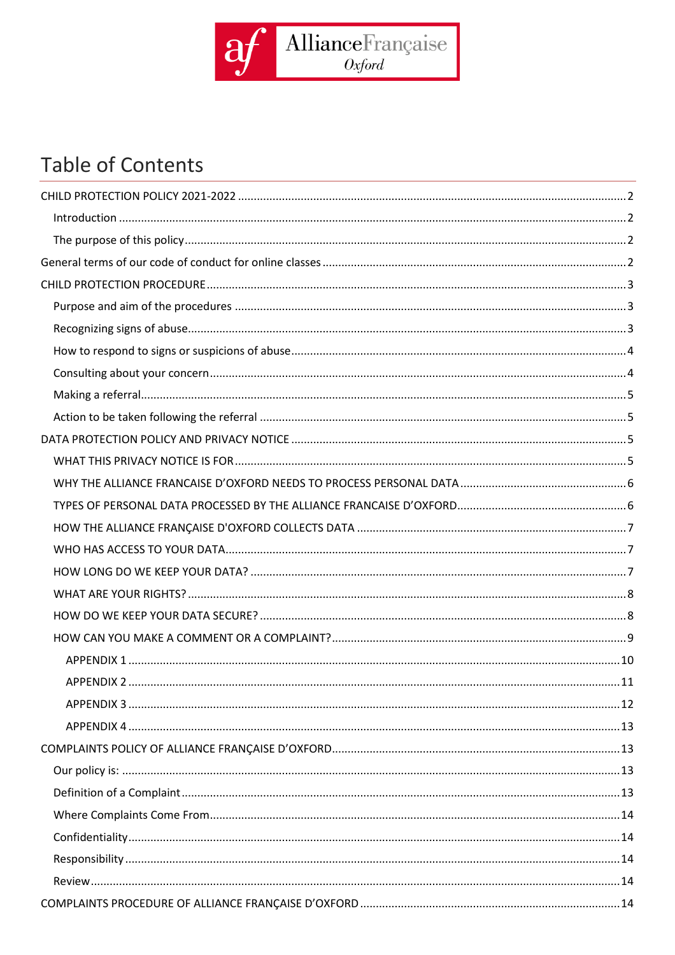

# **Table of Contents**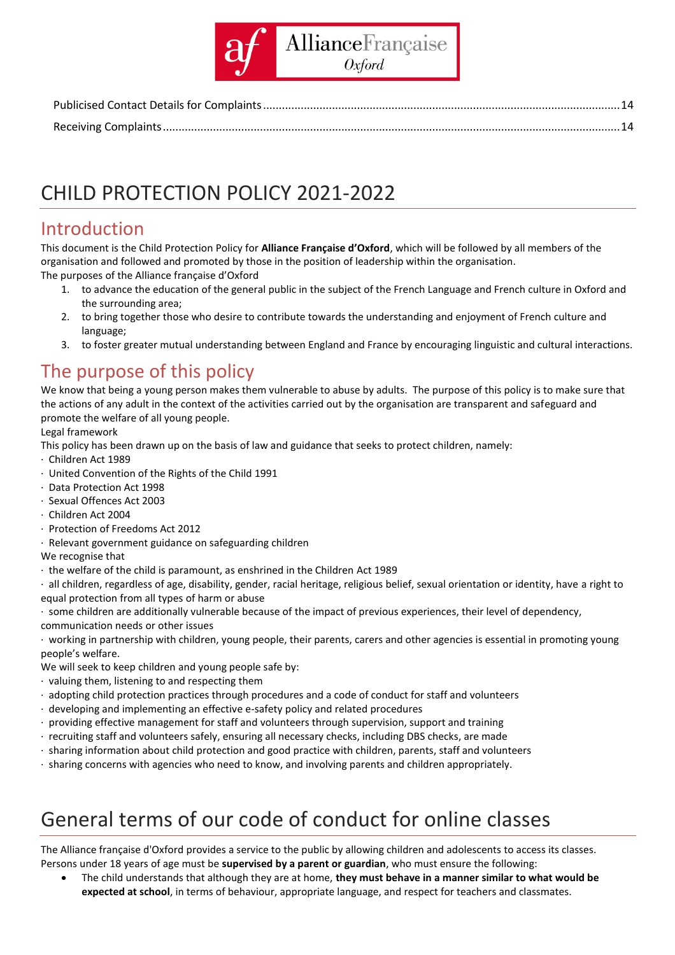

# <span id="page-1-0"></span>CHILD PROTECTION POLICY 2021-2022

### <span id="page-1-1"></span>Introduction

This document is the Child Protection Policy for **Alliance Française d'Oxford**, which will be followed by all members of the organisation and followed and promoted by those in the position of leadership within the organisation. The purposes of the Alliance française d'Oxford

- 1. to advance the education of the general public in the subject of the French Language and French culture in Oxford and the surrounding area;
- 2. to bring together those who desire to contribute towards the understanding and enjoyment of French culture and language;
- 3. to foster greater mutual understanding between England and France by encouraging linguistic and cultural interactions.

### <span id="page-1-2"></span>The purpose of this policy

We know that being a young person makes them vulnerable to abuse by adults. The purpose of this policy is to make sure that the actions of any adult in the context of the activities carried out by the organisation are transparent and safeguard and promote the welfare of all young people.

#### Legal framework

This policy has been drawn up on the basis of law and guidance that seeks to protect children, namely:

- · Children Act 1989
- · United Convention of the Rights of the Child 1991
- · Data Protection Act 1998
- · Sexual Offences Act 2003
- · Children Act 2004
- · Protection of Freedoms Act 2012
- · Relevant government guidance on safeguarding children

We recognise that

- · the welfare of the child is paramount, as enshrined in the Children Act 1989
- · all children, regardless of age, disability, gender, racial heritage, religious belief, sexual orientation or identity, have a right to equal protection from all types of harm or abuse
- · some children are additionally vulnerable because of the impact of previous experiences, their level of dependency, communication needs or other issues
- · working in partnership with children, young people, their parents, carers and other agencies is essential in promoting young people's welfare.

We will seek to keep children and young people safe by:

- · valuing them, listening to and respecting them
- · adopting child protection practices through procedures and a code of conduct for staff and volunteers
- · developing and implementing an effective e-safety policy and related procedures
- $\cdot$  providing effective management for staff and volunteers through supervision, support and training
- · recruiting staff and volunteers safely, ensuring all necessary checks, including DBS checks, are made
- · sharing information about child protection and good practice with children, parents, staff and volunteers
- · sharing concerns with agencies who need to know, and involving parents and children appropriately.

# <span id="page-1-3"></span>General terms of our code of conduct for online classes

The Alliance française d'Oxford provides a service to the public by allowing children and adolescents to access its classes. Persons under 18 years of age must be **supervised by a parent or guardian**, who must ensure the following:

• The child understands that although they are at home, **they must behave in a manner similar to what would be expected at school**, in terms of behaviour, appropriate language, and respect for teachers and classmates.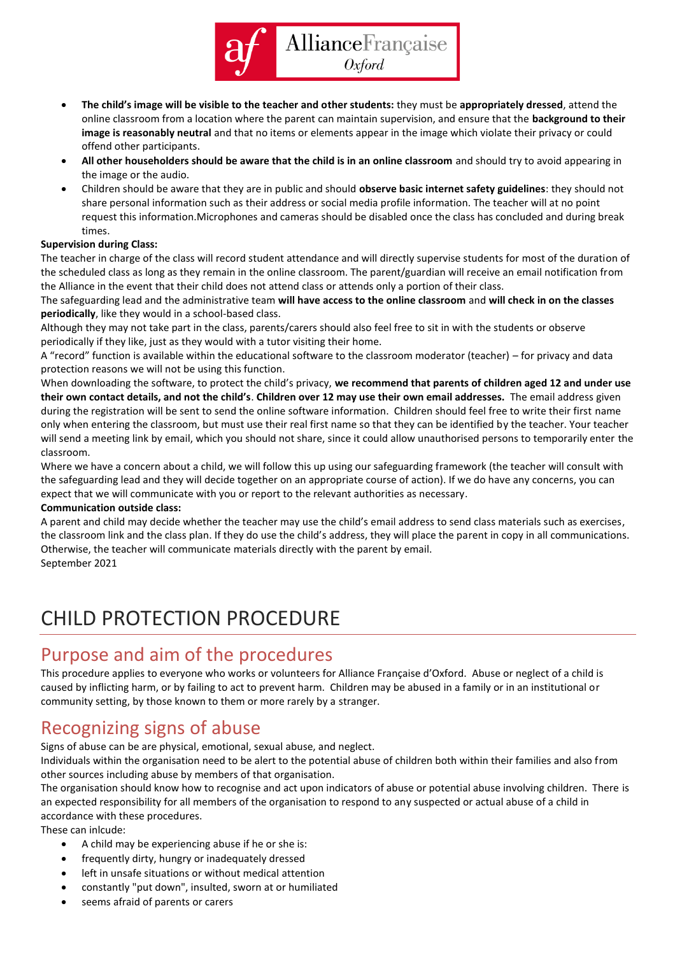

- **The child's image will be visible to the teacher and other students:** they must be **appropriately dressed**, attend the online classroom from a location where the parent can maintain supervision, and ensure that the **background to their image is reasonably neutral** and that no items or elements appear in the image which violate their privacy or could offend other participants.
- **All other householders should be aware that the child is in an online classroom** and should try to avoid appearing in the image or the audio.
- Children should be aware that they are in public and should **observe basic internet safety guidelines**: they should not share personal information such as their address or social media profile information. The teacher will at no point request this information.Microphones and cameras should be disabled once the class has concluded and during break times.

#### **Supervision during Class:**

The teacher in charge of the class will record student attendance and will directly supervise students for most of the duration of the scheduled class as long as they remain in the online classroom. The parent/guardian will receive an email notification from the Alliance in the event that their child does not attend class or attends only a portion of their class.

The safeguarding lead and the administrative team **will have access to the online classroom** and **will check in on the classes periodically**, like they would in a school-based class.

Although they may not take part in the class, parents/carers should also feel free to sit in with the students or observe periodically if they like, just as they would with a tutor visiting their home.

A "record" function is available within the educational software to the classroom moderator (teacher) – for privacy and data protection reasons we will not be using this function.

When downloading the software, to protect the child's privacy, **we recommend that parents of children aged 12 and under use their own contact details, and not the child's**. **Children over 12 may use their own email addresses.** The email address given during the registration will be sent to send the online software information. Children should feel free to write their first name only when entering the classroom, but must use their real first name so that they can be identified by the teacher. Your teacher will send a meeting link by email, which you should not share, since it could allow unauthorised persons to temporarily enter the classroom.

Where we have a concern about a child, we will follow this up using our safeguarding framework (the teacher will consult with the safeguarding lead and they will decide together on an appropriate course of action). If we do have any concerns, you can expect that we will communicate with you or report to the relevant authorities as necessary.

#### **Communication outside class:**

A parent and child may decide whether the teacher may use the child's email address to send class materials such as exercises, the classroom link and the class plan. If they do use the child's address, they will place the parent in copy in all communications. Otherwise, the teacher will communicate materials directly with the parent by email. September 2021

<span id="page-2-0"></span>

## CHILD PROTECTION PROCEDURE

#### <span id="page-2-1"></span>Purpose and aim of the procedures

This procedure applies to everyone who works or volunteers for Alliance Française d'Oxford. Abuse or neglect of a child is caused by inflicting harm, or by failing to act to prevent harm. Children may be abused in a family or in an institutional or community setting, by those known to them or more rarely by a stranger.

#### <span id="page-2-2"></span>Recognizing signs of abuse

Signs of abuse can be are physical, emotional, sexual abuse, and neglect.

Individuals within the organisation need to be alert to the potential abuse of children both within their families and also from other sources including abuse by members of that organisation.

The organisation should know how to recognise and act upon indicators of abuse or potential abuse involving children. There is an expected responsibility for all members of the organisation to respond to any suspected or actual abuse of a child in accordance with these procedures.

These can inlcude:

- A child may be experiencing abuse if he or she is:
- frequently dirty, hungry or inadequately dressed
- left in unsafe situations or without medical attention
- constantly "put down", insulted, sworn at or humiliated
- seems afraid of parents or carers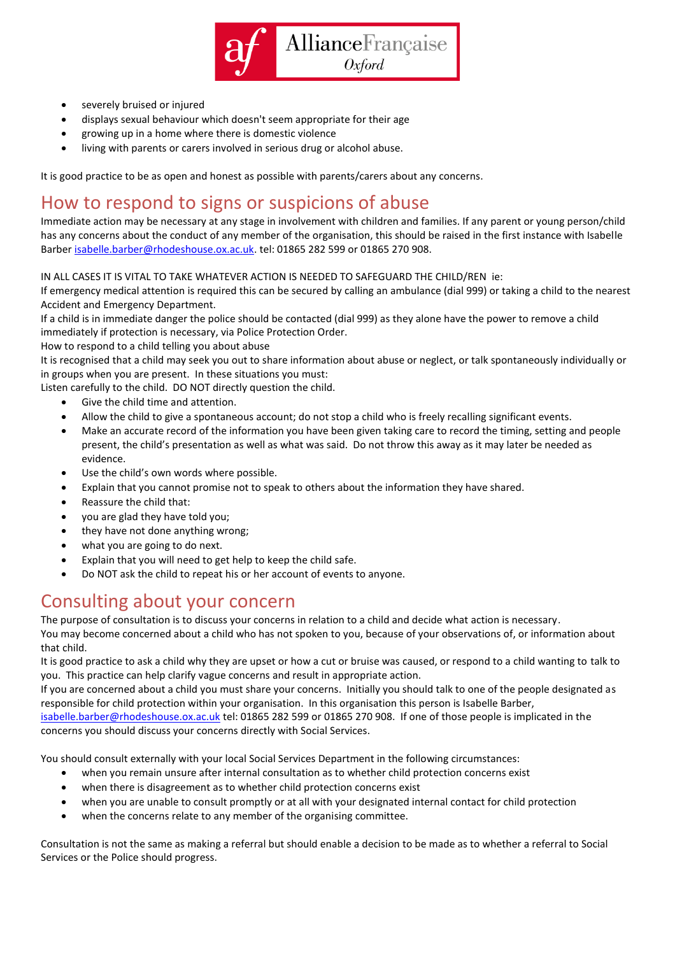

- severely bruised or injured
- displays sexual behaviour which doesn't seem appropriate for their age
- growing up in a home where there is domestic violence
- living with parents or carers involved in serious drug or alcohol abuse.

It is good practice to be as open and honest as possible with parents/carers about any concerns.

#### <span id="page-3-0"></span>How to respond to signs or suspicions of abuse

Immediate action may be necessary at any stage in involvement with children and families. If any parent or young person/child has any concerns about the conduct of any member of the organisation, this should be raised in the first instance with Isabelle Barbe[r isabelle.barber@rhodeshouse.ox.ac.uk.](mailto:isabelle.barber@rhodeshouse.ox.ac.uk) tel: 01865 282 599 or 01865 270 908.

IN ALL CASES IT IS VITAL TO TAKE WHATEVER ACTION IS NEEDED TO SAFEGUARD THE CHILD/REN ie:

If emergency medical attention is required this can be secured by calling an ambulance (dial 999) or taking a child to the nearest Accident and Emergency Department.

If a child is in immediate danger the police should be contacted (dial 999) as they alone have the power to remove a child immediately if protection is necessary, via Police Protection Order.

How to respond to a child telling you about abuse

It is recognised that a child may seek you out to share information about abuse or neglect, or talk spontaneously individually or in groups when you are present. In these situations you must:

Listen carefully to the child. DO NOT directly question the child.

- Give the child time and attention.
- Allow the child to give a spontaneous account; do not stop a child who is freely recalling significant events.
- Make an accurate record of the information you have been given taking care to record the timing, setting and people present, the child's presentation as well as what was said. Do not throw this away as it may later be needed as evidence.
- Use the child's own words where possible.
- Explain that you cannot promise not to speak to others about the information they have shared.
- Reassure the child that:
- you are glad they have told you;
- they have not done anything wrong;
- what you are going to do next.
- Explain that you will need to get help to keep the child safe.
- Do NOT ask the child to repeat his or her account of events to anyone.

#### <span id="page-3-1"></span>Consulting about your concern

The purpose of consultation is to discuss your concerns in relation to a child and decide what action is necessary.

You may become concerned about a child who has not spoken to you, because of your observations of, or information about that child.

It is good practice to ask a child why they are upset or how a cut or bruise was caused, or respond to a child wanting to talk to you. This practice can help clarify vague concerns and result in appropriate action.

If you are concerned about a child you must share your concerns. Initially you should talk to one of the people designated as responsible for child protection within your organisation. In this organisation this person is Isabelle Barber,

[isabelle.barber@rhodeshouse.ox.ac.uk](mailto:isabelle.barber@rhodeshouse.ox.ac.uk) tel: 01865 282 599 or 01865 270 908. If one of those people is implicated in the concerns you should discuss your concerns directly with Social Services.

You should consult externally with your local Social Services Department in the following circumstances:

- when you remain unsure after internal consultation as to whether child protection concerns exist
- when there is disagreement as to whether child protection concerns exist
- when you are unable to consult promptly or at all with your designated internal contact for child protection
- when the concerns relate to any member of the organising committee.

Consultation is not the same as making a referral but should enable a decision to be made as to whether a referral to Social Services or the Police should progress.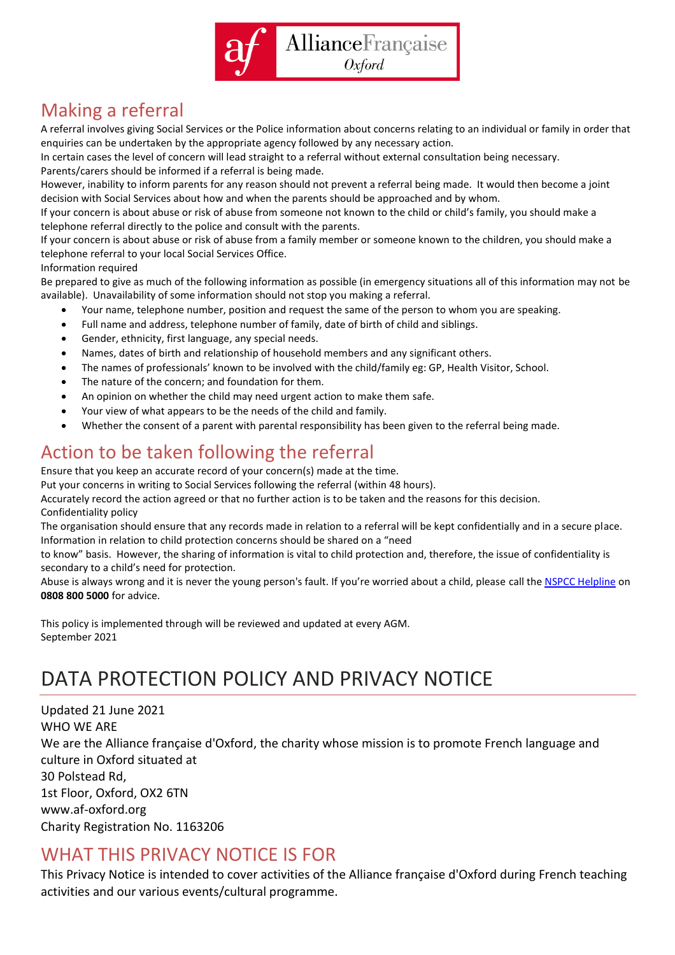

## <span id="page-4-0"></span>Making a referral

A referral involves giving Social Services or the Police information about concerns relating to an individual or family in order that enquiries can be undertaken by the appropriate agency followed by any necessary action.

In certain cases the level of concern will lead straight to a referral without external consultation being necessary. Parents/carers should be informed if a referral is being made.

However, inability to inform parents for any reason should not prevent a referral being made. It would then become a joint decision with Social Services about how and when the parents should be approached and by whom.

If your concern is about abuse or risk of abuse from someone not known to the child or child's family, you should make a telephone referral directly to the police and consult with the parents.

If your concern is about abuse or risk of abuse from a family member or someone known to the children, you should make a telephone referral to your local Social Services Office.

Information required

Be prepared to give as much of the following information as possible (in emergency situations all of this information may not be available). Unavailability of some information should not stop you making a referral.

- Your name, telephone number, position and request the same of the person to whom you are speaking.
- Full name and address, telephone number of family, date of birth of child and siblings.
- Gender, ethnicity, first language, any special needs.
- Names, dates of birth and relationship of household members and any significant others.
- The names of professionals' known to be involved with the child/family eg: GP, Health Visitor, School.
- The nature of the concern; and foundation for them.
- An opinion on whether the child may need urgent action to make them safe.
- Your view of what appears to be the needs of the child and family.
- Whether the consent of a parent with parental responsibility has been given to the referral being made.

## <span id="page-4-1"></span>Action to be taken following the referral

Ensure that you keep an accurate record of your concern(s) made at the time.

Put your concerns in writing to Social Services following the referral (within 48 hours).

Accurately record the action agreed or that no further action is to be taken and the reasons for this decision. Confidentiality policy

The organisation should ensure that any records made in relation to a referral will be kept confidentially and in a secure place. Information in relation to child protection concerns should be shared on a "need

to know" basis. However, the sharing of information is vital to child protection and, therefore, the issue of confidentiality is secondary to a child's need for protection.

Abuse is always wrong and it is never the young person's fault. If you're worried about a child, please call the [NSPCC Helpline](http://www.nspcc.org.uk/helpline) on **0808 800 5000** for advice.

This policy is implemented through will be reviewed and updated at every AGM. September 2021

# <span id="page-4-2"></span>DATA PROTECTION POLICY AND PRIVACY NOTICE

Updated 21 June 2021 WHO WE ARE We are the Alliance française d'Oxford, the charity whose mission is to promote French language and culture in Oxford situated at 30 Polstead Rd, 1st Floor, Oxford, OX2 6TN www.af-oxford.org Charity Registration No. 1163206

#### <span id="page-4-3"></span>WHAT THIS PRIVACY NOTICE IS FOR

This Privacy Notice is intended to cover activities of the Alliance française d'Oxford during French teaching activities and our various events/cultural programme.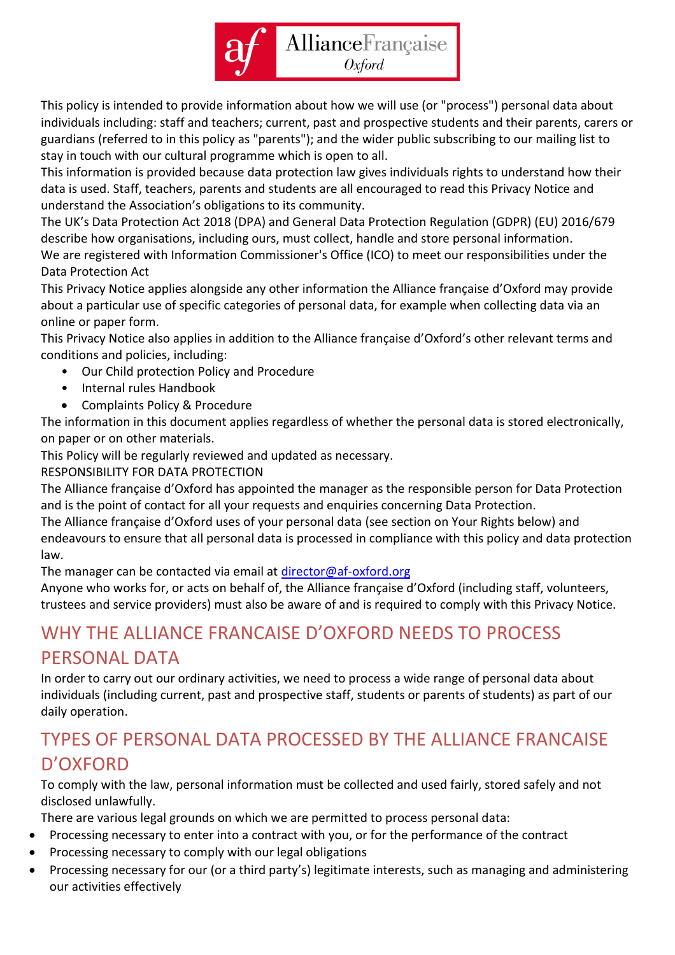

This policy is intended to provide information about how we will use (or "process") personal data about individuals including: staff and teachers; current, past and prospective students and their parents, carers or guardians (referred to in this policy as "parents"); and the wider public subscribing to our mailing list to stay in touch with our cultural programme which is open to all.

This information is provided because data protection law gives individuals rights to understand how their data is used. Staff, teachers, parents and students are all encouraged to read this Privacy Notice and understand the Association's obligations to its community.

The UK's Data Protection Act 2018 (DPA) and General Data Protection Regulation (GDPR) (EU) 2016/679 describe how organisations, including ours, must collect, handle and store personal information. We are registered with Information Commissioner's Office (ICO) to meet our responsibilities under the Data Protection Act

This Privacy Notice applies alongside any other information the Alliance française d'Oxford may provide about a particular use of specific categories of personal data, for example when collecting data via an online or paper form.

This Privacy Notice also applies in addition to the Alliance française d'Oxford's other relevant terms and conditions and policies, including:

- Our Child protection Policy and Procedure
- Internal rules Handbook
- Complaints Policy & Procedure

The information in this document applies regardless of whether the personal data is stored electronically, on paper or on other materials.

This Policy will be regularly reviewed and updated as necessary.

RESPONSIBILITY FOR DATA PROTECTION

The Alliance française d'Oxford has appointed the manager as the responsible person for Data Protection and is the point of contact for all your requests and enquiries concerning Data Protection.

The Alliance française d'Oxford uses of your personal data (see section on Your Rights below) and endeavours to ensure that all personal data is processed in compliance with this policy and data protection law.

The manager can be contacted via email at [director@af-oxford.org](mailto:director@af-oxford.org)

Anyone who works for, or acts on behalf of, the Alliance française d'Oxford (including staff, volunteers, trustees and service providers) must also be aware of and is required to comply with this Privacy Notice.

## <span id="page-5-0"></span>WHY THE ALLIANCE FRANCAISE D'OXFORD NEEDS TO PROCESS PERSONAL DATA

In order to carry out our ordinary activities, we need to process a wide range of personal data about individuals (including current, past and prospective staff, students or parents of students) as part of our daily operation.

### <span id="page-5-1"></span>TYPES OF PERSONAL DATA PROCESSED BY THE ALLIANCE FRANCAISE D'OXFORD

To comply with the law, personal information must be collected and used fairly, stored safely and not disclosed unlawfully.

There are various legal grounds on which we are permitted to process personal data:

- Processing necessary to enter into a contract with you, or for the performance of the contract
- Processing necessary to comply with our legal obligations
- Processing necessary for our (or a third party's) legitimate interests, such as managing and administering our activities effectively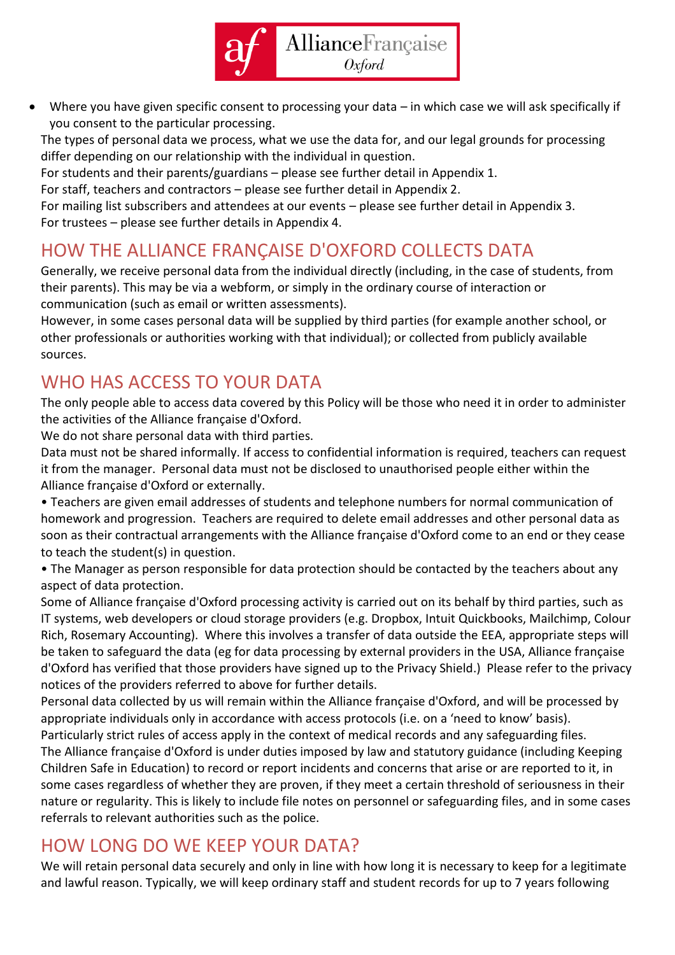

• Where you have given specific consent to processing your data – in which case we will ask specifically if you consent to the particular processing.

The types of personal data we process, what we use the data for, and our legal grounds for processing differ depending on our relationship with the individual in question.

For students and their parents/guardians – please see further detail in Appendix 1.

For staff, teachers and contractors – please see further detail in Appendix 2.

For mailing list subscribers and attendees at our events – please see further detail in Appendix 3. For trustees – please see further details in Appendix 4.

## <span id="page-6-0"></span>HOW THE ALLIANCE FRANÇAISE D'OXFORD COLLECTS DATA

Generally, we receive personal data from the individual directly (including, in the case of students, from their parents). This may be via a webform, or simply in the ordinary course of interaction or communication (such as email or written assessments).

However, in some cases personal data will be supplied by third parties (for example another school, or other professionals or authorities working with that individual); or collected from publicly available sources.

## <span id="page-6-1"></span>WHO HAS ACCESS TO YOUR DATA

The only people able to access data covered by this Policy will be those who need it in order to administer the activities of the Alliance française d'Oxford.

We do not share personal data with third parties.

Data must not be shared informally. If access to confidential information is required, teachers can request it from the manager. Personal data must not be disclosed to unauthorised people either within the Alliance française d'Oxford or externally.

• Teachers are given email addresses of students and telephone numbers for normal communication of homework and progression. Teachers are required to delete email addresses and other personal data as soon as their contractual arrangements with the Alliance française d'Oxford come to an end or they cease to teach the student(s) in question.

• The Manager as person responsible for data protection should be contacted by the teachers about any aspect of data protection.

Some of Alliance française d'Oxford processing activity is carried out on its behalf by third parties, such as IT systems, web developers or cloud storage providers (e.g. Dropbox, Intuit Quickbooks, Mailchimp, Colour Rich, Rosemary Accounting). Where this involves a transfer of data outside the EEA, appropriate steps will be taken to safeguard the data (eg for data processing by external providers in the USA, Alliance française d'Oxford has verified that those providers have signed up to the Privacy Shield.) Please refer to the privacy notices of the providers referred to above for further details.

Personal data collected by us will remain within the Alliance française d'Oxford, and will be processed by appropriate individuals only in accordance with access protocols (i.e. on a 'need to know' basis).

Particularly strict rules of access apply in the context of medical records and any safeguarding files. The Alliance française d'Oxford is under duties imposed by law and statutory guidance (including Keeping Children Safe in Education) to record or report incidents and concerns that arise or are reported to it, in some cases regardless of whether they are proven, if they meet a certain threshold of seriousness in their nature or regularity. This is likely to include file notes on personnel or safeguarding files, and in some cases referrals to relevant authorities such as the police.

### <span id="page-6-2"></span>HOW LONG DO WE KEEP YOUR DATA?

We will retain personal data securely and only in line with how long it is necessary to keep for a legitimate and lawful reason. Typically, we will keep ordinary staff and student records for up to 7 years following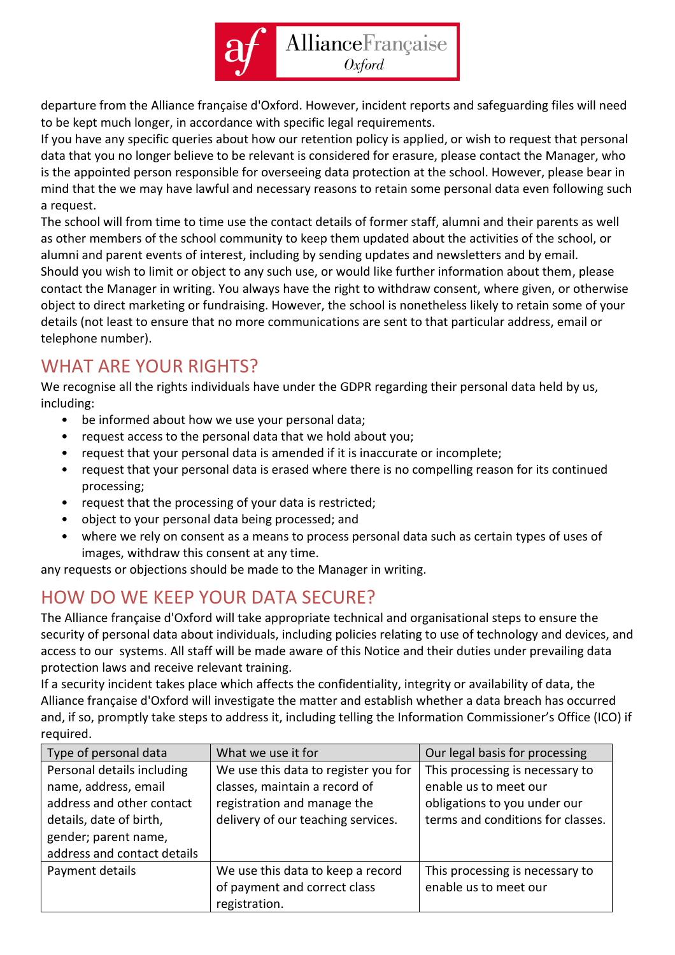

departure from the Alliance française d'Oxford. However, incident reports and safeguarding files will need to be kept much longer, in accordance with specific legal requirements.

If you have any specific queries about how our retention policy is applied, or wish to request that personal data that you no longer believe to be relevant is considered for erasure, please contact the Manager, who is the appointed person responsible for overseeing data protection at the school. However, please bear in mind that the we may have lawful and necessary reasons to retain some personal data even following such a request.

The school will from time to time use the contact details of former staff, alumni and their parents as well as other members of the school community to keep them updated about the activities of the school, or alumni and parent events of interest, including by sending updates and newsletters and by email. Should you wish to limit or object to any such use, or would like further information about them, please contact the Manager in writing. You always have the right to withdraw consent, where given, or otherwise object to direct marketing or fundraising. However, the school is nonetheless likely to retain some of your details (not least to ensure that no more communications are sent to that particular address, email or telephone number).

## <span id="page-7-0"></span>WHAT ARE YOUR RIGHTS?

We recognise all the rights individuals have under the GDPR regarding their personal data held by us, including:

- be informed about how we use your personal data;
- request access to the personal data that we hold about you;
- request that your personal data is amended if it is inaccurate or incomplete;
- request that your personal data is erased where there is no compelling reason for its continued processing;
- request that the processing of your data is restricted;
- object to your personal data being processed; and
- where we rely on consent as a means to process personal data such as certain types of uses of images, withdraw this consent at any time.

any requests or objections should be made to the Manager in writing.

## <span id="page-7-1"></span>HOW DO WE KEEP YOUR DATA SECURE?

The Alliance française d'Oxford will take appropriate technical and organisational steps to ensure the security of personal data about individuals, including policies relating to use of technology and devices, and access to our systems. All staff will be made aware of this Notice and their duties under prevailing data protection laws and receive relevant training.

If a security incident takes place which affects the confidentiality, integrity or availability of data, the Alliance française d'Oxford will investigate the matter and establish whether a data breach has occurred and, if so, promptly take steps to address it, including telling the Information Commissioner's Office (ICO) if required.

| Type of personal data       | What we use it for                   | Our legal basis for processing    |
|-----------------------------|--------------------------------------|-----------------------------------|
| Personal details including  | We use this data to register you for | This processing is necessary to   |
| name, address, email        | classes, maintain a record of        | enable us to meet our             |
| address and other contact   | registration and manage the          | obligations to you under our      |
| details, date of birth,     | delivery of our teaching services.   | terms and conditions for classes. |
| gender; parent name,        |                                      |                                   |
| address and contact details |                                      |                                   |
| Payment details             | We use this data to keep a record    | This processing is necessary to   |
|                             | of payment and correct class         | enable us to meet our             |
|                             | registration.                        |                                   |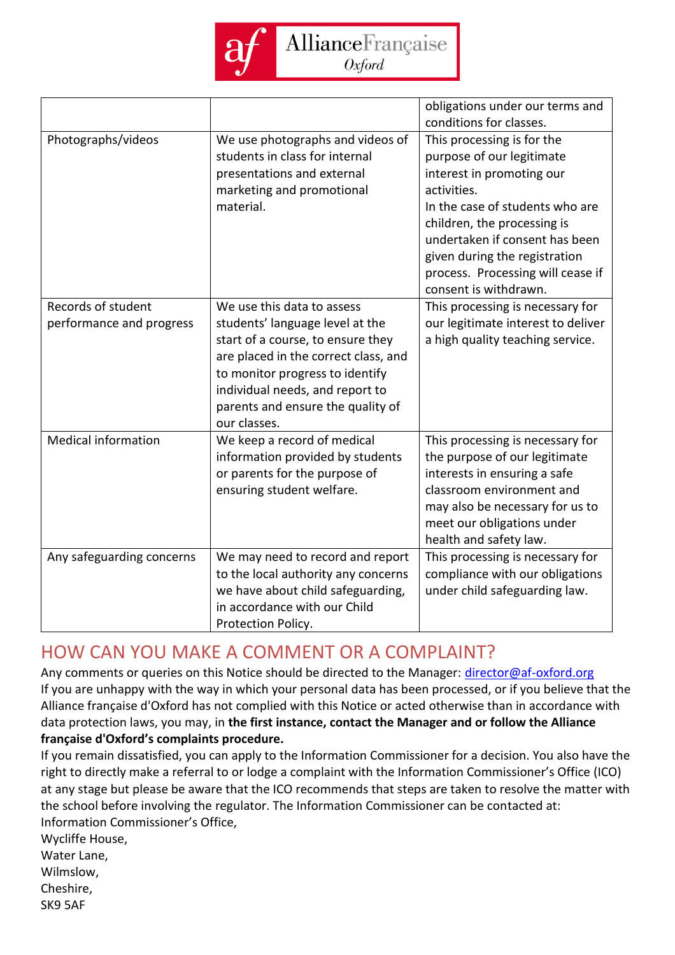

|                                                |                                                                                                                                                                                                                                                                       | obligations under our terms and<br>conditions for classes.                                                                                                                                                                                                                                             |
|------------------------------------------------|-----------------------------------------------------------------------------------------------------------------------------------------------------------------------------------------------------------------------------------------------------------------------|--------------------------------------------------------------------------------------------------------------------------------------------------------------------------------------------------------------------------------------------------------------------------------------------------------|
| Photographs/videos                             | We use photographs and videos of<br>students in class for internal<br>presentations and external<br>marketing and promotional<br>material.                                                                                                                            | This processing is for the<br>purpose of our legitimate<br>interest in promoting our<br>activities.<br>In the case of students who are<br>children, the processing is<br>undertaken if consent has been<br>given during the registration<br>process. Processing will cease if<br>consent is withdrawn. |
| Records of student<br>performance and progress | We use this data to assess<br>students' language level at the<br>start of a course, to ensure they<br>are placed in the correct class, and<br>to monitor progress to identify<br>individual needs, and report to<br>parents and ensure the quality of<br>our classes. | This processing is necessary for<br>our legitimate interest to deliver<br>a high quality teaching service.                                                                                                                                                                                             |
| <b>Medical information</b>                     | We keep a record of medical<br>information provided by students<br>or parents for the purpose of<br>ensuring student welfare.                                                                                                                                         | This processing is necessary for<br>the purpose of our legitimate<br>interests in ensuring a safe<br>classroom environment and<br>may also be necessary for us to<br>meet our obligations under<br>health and safety law.                                                                              |
| Any safeguarding concerns                      | We may need to record and report<br>to the local authority any concerns<br>we have about child safeguarding,<br>in accordance with our Child<br>Protection Policy.                                                                                                    | This processing is necessary for<br>compliance with our obligations<br>under child safeguarding law.                                                                                                                                                                                                   |

#### <span id="page-8-0"></span>HOW CAN YOU MAKE A COMMENT OR A COMPLAINT?

Any comments or queries on this Notice should be directed to the Manager: [director@af-oxford.org](mailto:director@af-oxford.org) If you are unhappy with the way in which your personal data has been processed, or if you believe that the Alliance française d'Oxford has not complied with this Notice or acted otherwise than in accordance with data protection laws, you may, in **the first instance, contact the Manager and or follow the Alliance française d'Oxford's complaints procedure.**

If you remain dissatisfied, you can apply to the Information Commissioner for a decision. You also have the right to directly make a referral to or lodge a complaint with the Information Commissioner's Office (ICO) at any stage but please be aware that the ICO recommends that steps are taken to resolve the matter with the school before involving the regulator. The Information Commissioner can be contacted at: Information Commissioner's Office,

Wycliffe House, Water Lane, Wilmslow,

Cheshire,

SK9 5AF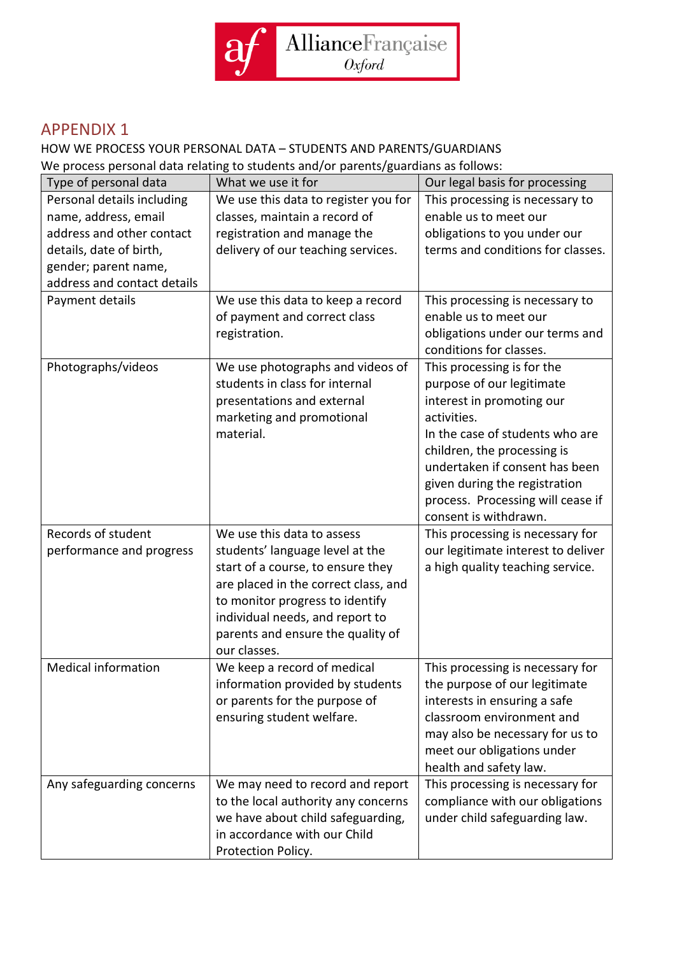

#### <span id="page-9-0"></span>APPENDIX 1

#### HOW WE PROCESS YOUR PERSONAL DATA – STUDENTS AND PARENTS/GUARDIANS We process personal data relating to students and/or parents/guardians as follows:

Type of personal data  $\blacksquare$  What we use it for  $\blacksquare$  Our legal basis for processing Personal details including name, address, email address and other contact details, date of birth, gender; parent name, address and contact details We use this data to register you for classes, maintain a record of registration and manage the delivery of our teaching services. This processing is necessary to enable us to meet our obligations to you under our terms and conditions for classes. Payment details  $\parallel$  We use this data to keep a record of payment and correct class registration. This processing is necessary to enable us to meet our obligations under our terms and conditions for classes. Photographs/videos  $\vert$  We use photographs and videos of students in class for internal presentations and external marketing and promotional material. This processing is for the purpose of our legitimate interest in promoting our activities. In the case of students who are children, the processing is undertaken if consent has been given during the registration process. Processing will cease if consent is withdrawn. Records of student performance and progress We use this data to assess students' language level at the start of a course, to ensure they are placed in the correct class, and to monitor progress to identify individual needs, and report to parents and ensure the quality of our classes. This processing is necessary for our legitimate interest to deliver a high quality teaching service. Medical information We keep a record of medical information provided by students or parents for the purpose of ensuring student welfare. This processing is necessary for the purpose of our legitimate interests in ensuring a safe classroom environment and may also be necessary for us to meet our obligations under health and safety law. Any safeguarding concerns  $\parallel$  We may need to record and report to the local authority any concerns we have about child safeguarding, in accordance with our Child Protection Policy. This processing is necessary for compliance with our obligations under child safeguarding law.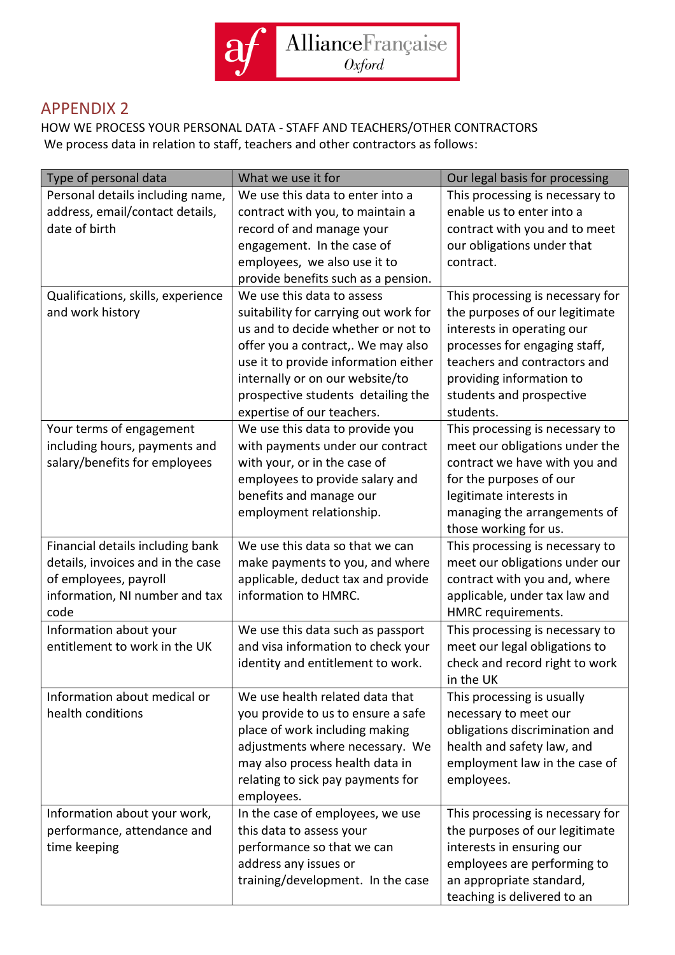

#### <span id="page-10-0"></span>APPENDIX 2

HOW WE PROCESS YOUR PERSONAL DATA - STAFF AND TEACHERS/OTHER CONTRACTORS We process data in relation to staff, teachers and other contractors as follows:

| Type of personal data                                                                                                                    | What we use it for                                                                                                                                                                                                               | Our legal basis for processing                                                                                                                                                                                    |
|------------------------------------------------------------------------------------------------------------------------------------------|----------------------------------------------------------------------------------------------------------------------------------------------------------------------------------------------------------------------------------|-------------------------------------------------------------------------------------------------------------------------------------------------------------------------------------------------------------------|
| Personal details including name,                                                                                                         | We use this data to enter into a                                                                                                                                                                                                 | This processing is necessary to                                                                                                                                                                                   |
| address, email/contact details,                                                                                                          | contract with you, to maintain a                                                                                                                                                                                                 | enable us to enter into a                                                                                                                                                                                         |
| date of birth                                                                                                                            | record of and manage your                                                                                                                                                                                                        | contract with you and to meet                                                                                                                                                                                     |
|                                                                                                                                          | engagement. In the case of                                                                                                                                                                                                       | our obligations under that                                                                                                                                                                                        |
|                                                                                                                                          | employees, we also use it to                                                                                                                                                                                                     | contract.                                                                                                                                                                                                         |
|                                                                                                                                          | provide benefits such as a pension.                                                                                                                                                                                              |                                                                                                                                                                                                                   |
| Qualifications, skills, experience<br>and work history                                                                                   | We use this data to assess<br>suitability for carrying out work for<br>us and to decide whether or not to                                                                                                                        | This processing is necessary for<br>the purposes of our legitimate<br>interests in operating our                                                                                                                  |
|                                                                                                                                          | offer you a contract,. We may also<br>use it to provide information either<br>internally or on our website/to<br>prospective students detailing the<br>expertise of our teachers.                                                | processes for engaging staff,<br>teachers and contractors and<br>providing information to<br>students and prospective<br>students.                                                                                |
| Your terms of engagement<br>including hours, payments and<br>salary/benefits for employees                                               | We use this data to provide you<br>with payments under our contract<br>with your, or in the case of<br>employees to provide salary and<br>benefits and manage our<br>employment relationship.                                    | This processing is necessary to<br>meet our obligations under the<br>contract we have with you and<br>for the purposes of our<br>legitimate interests in<br>managing the arrangements of<br>those working for us. |
| Financial details including bank<br>details, invoices and in the case<br>of employees, payroll<br>information, NI number and tax<br>code | We use this data so that we can<br>make payments to you, and where<br>applicable, deduct tax and provide<br>information to HMRC.                                                                                                 | This processing is necessary to<br>meet our obligations under our<br>contract with you and, where<br>applicable, under tax law and<br>HMRC requirements.                                                          |
| Information about your<br>entitlement to work in the UK                                                                                  | We use this data such as passport<br>and visa information to check your<br>identity and entitlement to work.                                                                                                                     | This processing is necessary to<br>meet our legal obligations to<br>check and record right to work<br>in the UK                                                                                                   |
| Information about medical or<br>health conditions                                                                                        | We use health related data that<br>you provide to us to ensure a safe<br>place of work including making<br>adjustments where necessary. We<br>may also process health data in<br>relating to sick pay payments for<br>employees. | This processing is usually<br>necessary to meet our<br>obligations discrimination and<br>health and safety law, and<br>employment law in the case of<br>employees.                                                |
| Information about your work,<br>performance, attendance and<br>time keeping                                                              | In the case of employees, we use<br>this data to assess your<br>performance so that we can<br>address any issues or<br>training/development. In the case                                                                         | This processing is necessary for<br>the purposes of our legitimate<br>interests in ensuring our<br>employees are performing to<br>an appropriate standard,<br>teaching is delivered to an                         |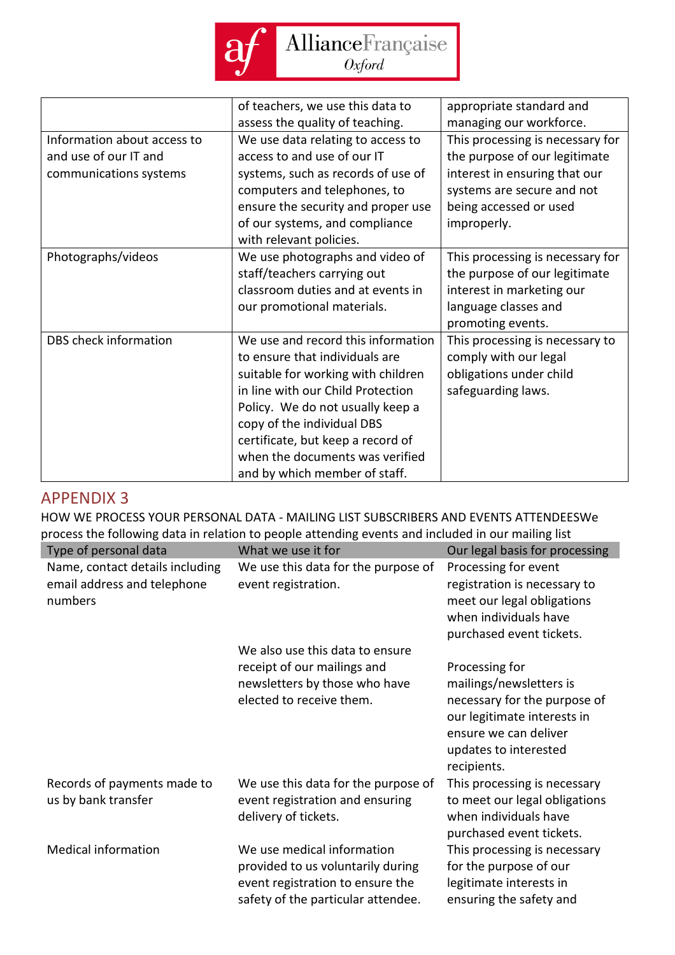

|                             | of teachers, we use this data to   | appropriate standard and         |
|-----------------------------|------------------------------------|----------------------------------|
|                             | assess the quality of teaching.    | managing our workforce.          |
| Information about access to | We use data relating to access to  | This processing is necessary for |
| and use of our IT and       | access to and use of our IT        | the purpose of our legitimate    |
| communications systems      | systems, such as records of use of | interest in ensuring that our    |
|                             | computers and telephones, to       | systems are secure and not       |
|                             | ensure the security and proper use | being accessed or used           |
|                             | of our systems, and compliance     | improperly.                      |
|                             | with relevant policies.            |                                  |
| Photographs/videos          | We use photographs and video of    | This processing is necessary for |
|                             | staff/teachers carrying out        | the purpose of our legitimate    |
|                             | classroom duties and at events in  | interest in marketing our        |
|                             | our promotional materials.         | language classes and             |
|                             |                                    | promoting events.                |
| DBS check information       | We use and record this information | This processing is necessary to  |
|                             | to ensure that individuals are     | comply with our legal            |
|                             | suitable for working with children | obligations under child          |
|                             | in line with our Child Protection  | safeguarding laws.               |
|                             | Policy. We do not usually keep a   |                                  |
|                             | copy of the individual DBS         |                                  |
|                             | certificate, but keep a record of  |                                  |
|                             | when the documents was verified    |                                  |
|                             | and by which member of staff.      |                                  |

#### <span id="page-11-0"></span>APPENDIX 3

HOW WE PROCESS YOUR PERSONAL DATA - MAILING LIST SUBSCRIBERS AND EVENTS ATTENDEESWe process the following data in relation to people attending events and included in our mailing list

| Type of personal data                                                     | What we use it for                                                                                                                        | Our legal basis for processing                                                                                                          |
|---------------------------------------------------------------------------|-------------------------------------------------------------------------------------------------------------------------------------------|-----------------------------------------------------------------------------------------------------------------------------------------|
| Name, contact details including<br>email address and telephone<br>numbers | We use this data for the purpose of<br>event registration.                                                                                | Processing for event<br>registration is necessary to<br>meet our legal obligations<br>when individuals have<br>purchased event tickets. |
|                                                                           | We also use this data to ensure                                                                                                           |                                                                                                                                         |
|                                                                           | receipt of our mailings and                                                                                                               | Processing for                                                                                                                          |
|                                                                           | newsletters by those who have                                                                                                             | mailings/newsletters is                                                                                                                 |
|                                                                           | elected to receive them.                                                                                                                  | necessary for the purpose of<br>our legitimate interests in<br>ensure we can deliver<br>updates to interested<br>recipients.            |
| Records of payments made to<br>us by bank transfer                        | We use this data for the purpose of<br>event registration and ensuring<br>delivery of tickets.                                            | This processing is necessary<br>to meet our legal obligations<br>when individuals have<br>purchased event tickets.                      |
| <b>Medical information</b>                                                | We use medical information<br>provided to us voluntarily during<br>event registration to ensure the<br>safety of the particular attendee. | This processing is necessary<br>for the purpose of our<br>legitimate interests in<br>ensuring the safety and                            |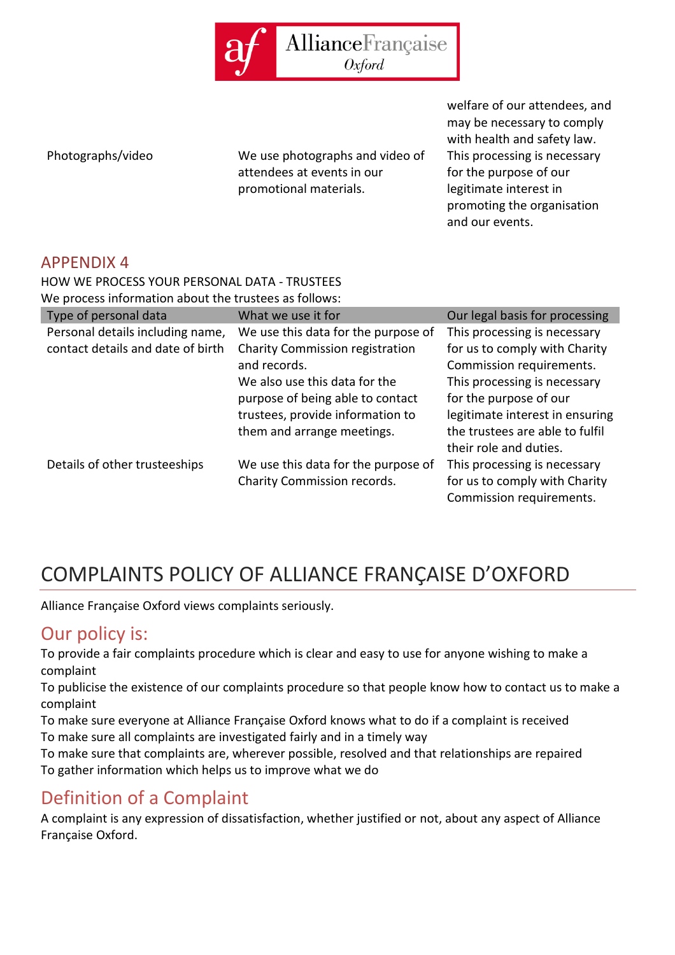

Photographs/video We use photographs and video of attendees at events in our promotional materials.

welfare of our attendees, and may be necessary to comply with health and safety law. This processing is necessary for the purpose of our legitimate interest in promoting the organisation and our events.

#### <span id="page-12-0"></span>APPENDIX 4

HOW WE PROCESS YOUR PERSONAL DATA - TRUSTEES

We process information about the trustees as follows:

| Type of personal data             | What we use it for                  | Our legal basis for processing  |
|-----------------------------------|-------------------------------------|---------------------------------|
| Personal details including name,  | We use this data for the purpose of | This processing is necessary    |
| contact details and date of birth | Charity Commission registration     | for us to comply with Charity   |
|                                   | and records.                        | Commission requirements.        |
|                                   | We also use this data for the       | This processing is necessary    |
|                                   | purpose of being able to contact    | for the purpose of our          |
|                                   | trustees, provide information to    | legitimate interest in ensuring |
|                                   | them and arrange meetings.          | the trustees are able to fulfil |
|                                   |                                     | their role and duties.          |
| Details of other trusteeships     | We use this data for the purpose of | This processing is necessary    |
|                                   | Charity Commission records.         | for us to comply with Charity   |
|                                   |                                     | Commission requirements.        |

# <span id="page-12-1"></span>COMPLAINTS POLICY OF ALLIANCE FRANÇAISE D'OXFORD

Alliance Française Oxford views complaints seriously.

#### <span id="page-12-2"></span>Our policy is:

To provide a fair complaints procedure which is clear and easy to use for anyone wishing to make a complaint

To publicise the existence of our complaints procedure so that people know how to contact us to make a complaint

To make sure everyone at Alliance Française Oxford knows what to do if a complaint is received To make sure all complaints are investigated fairly and in a timely way

To make sure that complaints are, wherever possible, resolved and that relationships are repaired To gather information which helps us to improve what we do

## <span id="page-12-3"></span>Definition of a Complaint

A complaint is any expression of dissatisfaction, whether justified or not, about any aspect of Alliance Française Oxford.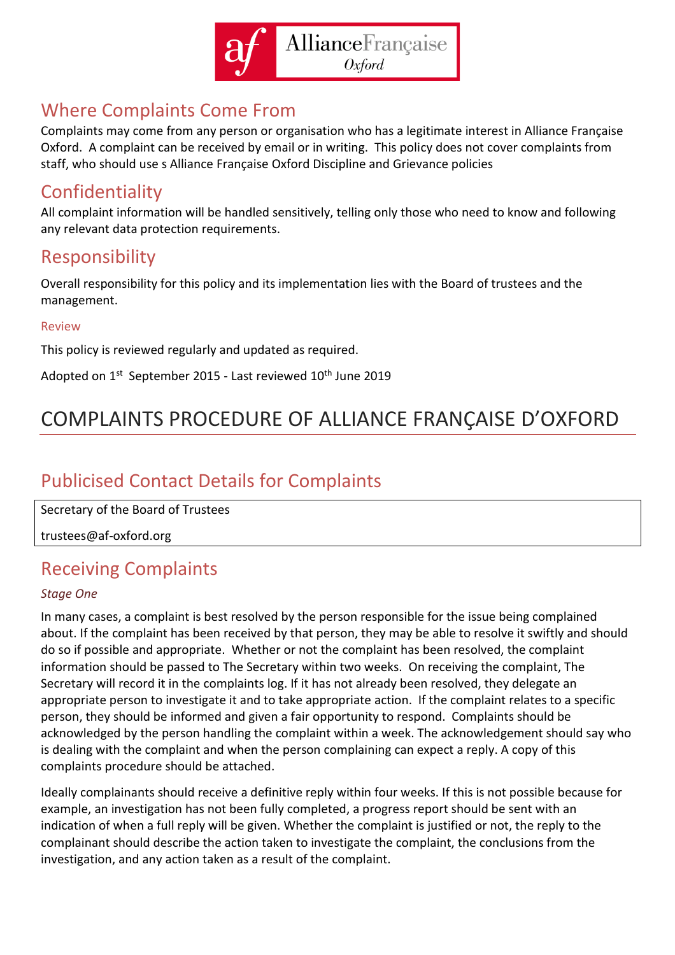

### <span id="page-13-0"></span>Where Complaints Come From

Complaints may come from any person or organisation who has a legitimate interest in Alliance Française Oxford. A complaint can be received by email or in writing. This policy does not cover complaints from staff, who should use s Alliance Française Oxford Discipline and Grievance policies

### <span id="page-13-1"></span>Confidentiality

All complaint information will be handled sensitively, telling only those who need to know and following any relevant data protection requirements.

### <span id="page-13-2"></span>Responsibility

Overall responsibility for this policy and its implementation lies with the Board of trustees and the management.

#### <span id="page-13-3"></span>Review

This policy is reviewed regularly and updated as required.

Adopted on 1<sup>st</sup> September 2015 - Last reviewed 10<sup>th</sup> June 2019

# <span id="page-13-4"></span>COMPLAINTS PROCEDURE OF ALLIANCE FRANÇAISE D'OXFORD

## <span id="page-13-5"></span>Publicised Contact Details for Complaints

Secretary of the Board of Trustees

trustees@af-oxford.org

## <span id="page-13-6"></span>Receiving Complaints

#### *Stage One*

In many cases, a complaint is best resolved by the person responsible for the issue being complained about. If the complaint has been received by that person, they may be able to resolve it swiftly and should do so if possible and appropriate. Whether or not the complaint has been resolved, the complaint information should be passed to The Secretary within two weeks. On receiving the complaint, The Secretary will record it in the complaints log. If it has not already been resolved, they delegate an appropriate person to investigate it and to take appropriate action. If the complaint relates to a specific person, they should be informed and given a fair opportunity to respond. Complaints should be acknowledged by the person handling the complaint within a week. The acknowledgement should say who is dealing with the complaint and when the person complaining can expect a reply. A copy of this complaints procedure should be attached.

Ideally complainants should receive a definitive reply within four weeks. If this is not possible because for example, an investigation has not been fully completed, a progress report should be sent with an indication of when a full reply will be given. Whether the complaint is justified or not, the reply to the complainant should describe the action taken to investigate the complaint, the conclusions from the investigation, and any action taken as a result of the complaint.